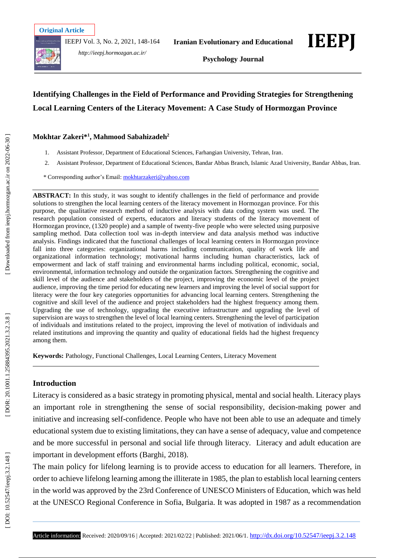

IEEPJ Vol. 3, No. 2, 2021, 148 -164



*http://ieepj.hormozgan.ac.ir/*

**Iranian Evolutionary and Educational** 



**Psychology Journal**

# **Identifying Challenges in the Field of Performance and Providing Strategies for Strengthening Local Learning Centers of the Literacy Movement: A Case Study of Hormozgan Province**

**Mokhtar Zakeri\* 1 , Mahmood Sabahizadeh 2**

- 1 . Assistant Professor, Department of Educational Sciences, Farhangian University, Tehran, Iran .
- 2. . Assistant Professor, Department of Educational Sciences, Bandar Abbas Branch, Islamic Azad University, Bandar Abbas, Iran .

\* Corresponding author's Email : [mokhtarzakeri@yahoo.com](mailto:mokhtarzakeri@yahoo.com)

**ABSTRACT:** In this study, it was sought to identify challenges in the field of performance and provide solutions to strengthen the local learning centers of the literacy movement in Hormozgan province. For this purpose, the qualitative research method of inductive analysis with data coding system was used. The research population consisted of experts, educators and literacy students of the literacy movement of Hormozgan province, (1320 people) and a sample of twenty -five people who were selected using purposive sampling method. Data collection tool was in -depth interview and data analysis method was inductive analysis. Findings indicated that the functional challenges of local learning centers in Hormozgan province fall into three categories: organizational harms including communication, quality of work life and organizational information technology; motivational harms including human characteristics, lack of empowerment and lack of staff training and environmental harms including political, economic, social, environmental, information technology and outside the organization factors. Strengthening the cognitive and skill level of the audience and stakeholders of the project, improving the economic level of the project audience, improving the time period for educating new learners and improving the level of social support for literacy were the four key categories opportunities for advancing local learning centers. Strengthening the cognitive and skill level of the audience and project stakeholders had the highest frequency among them. Upgrading the use of technology, upgrading the executive infrastructure and upgrading the level of supervision are ways to strengthen the level of local learning centers. Strengthening the level of participation of individuals and institutions related to the project, improving the level of motivation of individuals and related institutions and improving the quantity and quality of educational fields had the highest frequency among them.

**Keywords:** Pathology, Functional Challenges, Local Learning Centers, Literacy Movement

## **Introduction**

Literacy is considered as a basic strategy in promoting physical, mental and social health. Literacy plays an important role in strengthening the sense of social responsibility, decision -making power and initiative and increasing self -confidence. People who have not been able to use an adequate and timely educational system due to existing limitations, they can have a sense of adequacy, value and competence and be more successful in personal and social life through literacy. Literacy and adult education are important in development efforts (Barghi, 2018).

The main policy for lifelong learning is to provide access to education for all learners. Therefore, in order to achieve lifelong learning among the illiterate in 1985, the plan to establish local learning centers in the world was approved by the 23rd Conference of UNESCO Ministers of Education, which was held at the UNESCO Regional Conference in Sofia, Bulgaria. It was adopted in 1987 as a recommendation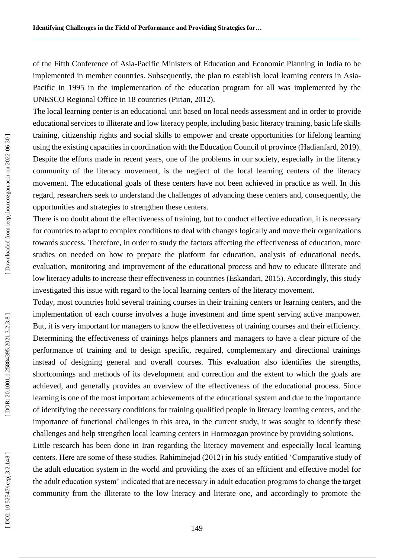of the Fifth Conference of Asia -Pacific Ministers of Education and Economic Planning in India to be implemented in member countries. Subsequently, the plan to establish local learning centers in Asia - Pacific in 1995 in the implementation of the education program for all was implemented by the UNESCO Regional Office in 18 countries (Pirian, 2012).

The local learning center is an educational unit based on local needs assessment and in order to provide educational services to illiterate and low literacy people, including basic literacy training, basic life skills training, citizenship rights and social skills to empower and create opportunities for lifelong learning using the existing capacities in coordination with the Education Council of province (Hadianfard, 2019). Despite the efforts made in recent years, one of the problems in our society, especially in the literacy community of the literacy movement, is the neglect of the local learning centers of the literacy movement. The educational goals of these centers have not been achieved in practice as well. In this regard, researchers seek to understand the challenges of advancing these centers and, consequently, the opportunities and strategies to strengthen these centers.

There is no doubt about the effectiveness of training, but to conduct effective education, it is necessary for countries to adapt to complex conditions to deal with changes logically and move their organizations towards success. Therefore, in order to study the factors affecting the effectiveness of education, more studies on needed on how to prepare the platform for education, analysis of educational needs, evaluation, monitoring and improvement of the educational process and how to educate illiterate and low literacy adults to increase their effectiveness in countries (Eskandari, 2015). Accordingly, this study investigated this issue with regard to the local learning centers of the literacy movement.

Today, most countries hold several training courses in their training centers or learning centers, and the implementation of each course involves a huge investment and time spent serving active manpower. But, it is very important for managers to know the effectiveness of training courses and their efficiency. Determining the effectiveness of trainings helps planners and managers to have a clear picture of the performance of training and to design specific, required, complementary and directional trainings instead of designing general and overall courses. This evaluation also identifies the strengths, shortcomings and methods of its development and correction and the extent to which the goals are achieved, and generally provides an overview of the effectiveness of the educational process. Since learning is one of the most important achievements of the educational system and due to the importance of identifying the necessary conditions for training qualified people in literacy learning centers, and the importance of functional challenges in this area, in the current study, it was sought to identify these challenges and help strengthen local learning centers in Hormozgan province by providing solutions.

Little research has been done in Iran regarding the literacy movement and especially local learning centers. Here are some of these studies. Rahiminejad (2012) in his study entitled 'Comparative study of the adult education system in the world and providing the axes of an efficient and effective model for the adult education system' indicated that are necessary in adult education programs to change the target community from the illiterate to the low literacy and literate one, and accordingly to promote the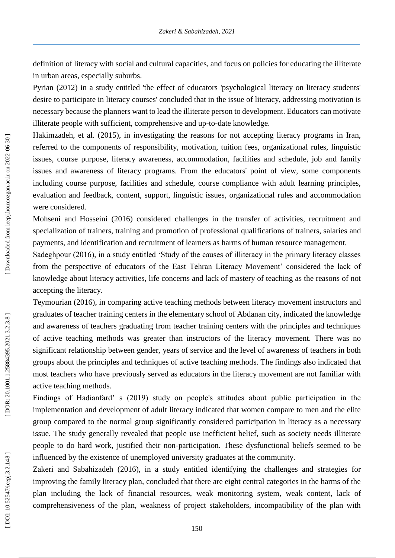definition of literacy with social and cultural capacities, and focus on policies for educating the illiterate in urban areas, especially suburbs.

Pyrian (2012) in a study entitled 'the effect of educators 'psychological literacy on literacy students' desire to participate in literacy courses' concluded that in the issue of literacy, addressing motivation is necessary because the planners want to lead the illiterate person to development. Educators can motivate illiterate people with sufficient, comprehensive and up-to-date knowledge.

Hakimzadeh, et al. (2015), in investigating the reasons for not accepting literacy programs in Iran, referred to the components of responsibility, motivation, tuition fees, organizational rules, linguistic issues, course purpose, literacy awareness, accommodation, facilities and schedule, job and family issues and awareness of literacy programs. From the educators' point of view, some components including course purpose, facilities and schedule, course compliance with adult learning principles, evaluation and feedback, content, support, linguistic issues, organizational rules and accommodation were considered.

Mohseni and Hosseini (2016) considered challenges in the transfer of activities, recruitment and specialization of trainers, training and promotion of professional qualifications of trainers, salaries and payments, and identification and recruitment of learners as harms of human resource management.

Sadeghpour (2016), in a study entitled 'Study of the causes of illiteracy in the primary literacy classes from the perspective of educators of the East Tehran Literacy Movement' considered the lack of knowledge about literacy activities, life concerns and lack of mastery of teaching as the reasons of not accepting the literacy.

Teymourian (2016), in comparing active teaching methods between literacy movement instructors and graduates of teacher training centers in the elementary school of Abdanan city, indicated the knowledge and awareness of teachers graduating from teacher training centers with the principles and techniques of active teaching methods was greater than instructors of the literacy movement. There was no significant relationship between gender, years of service and the level of awareness of teachers in both groups about the principles and techniques of active teaching methods. The findings also indicated that most teachers who have previously served as educators in the literacy movement are not familiar with active teaching methods.

Findings of Hadianfard' s (2019) study on people's attitudes about public participation in the implementation and development of adult literacy indicated that women compare to men and the elite group compared to the normal group significantly considered participation in literacy as a necessary issue. The study generally revealed that people use inefficient belief, such as society needs illiterate people to do hard work, justified their non -participation. These dysfunctional beliefs seemed to be influenced by the existence of unemployed university graduates at the community.

Zakeri and Sabahizadeh (2016), in a study entitled identifying the challenges and strategies for improving the family literacy plan, concluded that there are eight central categories in the harms of the plan including the lack of financial resources, weak monitoring system, weak content, lack of comprehensiveness of the plan, weakness of project stakeholders, incompatibility of the plan with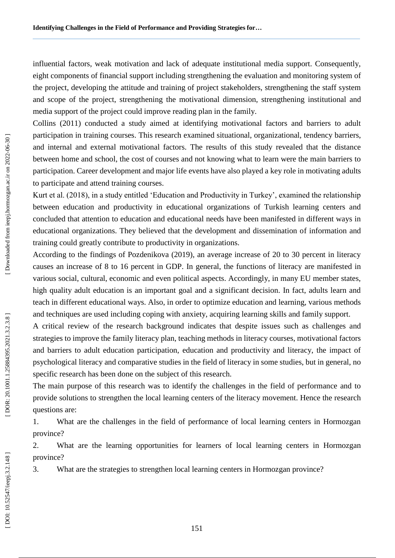influential factors, weak motivation and lack of adequate institutional media support. Consequently, eight components of financial support including strengthening the evaluation and monitoring system of the project, developing the attitude and training of project stakeholders, strengthening the staff system and scope of the project, strengthening the motivational dimension, strengthening institutional and media support of the project could improve reading plan in the family.

Collins (2011) conducted a study aimed at identifying motivational factors and barriers to adult participation in training courses. This research examined situational, organizational, tendency barriers, and internal and external motivational factors. The results of this study revealed that the distance between home and school, the cost of courses and not knowing what to learn were the main barriers to participation. Career development and major life events have also played a key role in motivating adults to participate and attend training courses.

Kurt et al. (2018), in a study entitled 'Education and Productivity in Turkey', examined the relationship between education and productivity in educational organizations of Turkish learning centers and concluded that attention to education and educational needs have been manifested in different ways in educational organizations. They believed that the development and dissemination of information and training could greatly contribute to productivity in organizations.

According to the findings of Pozdenikova (2019), an average increase of 20 to 30 percent in literacy causes an increase of 8 to 16 percent in GDP. In general, the functions of literacy are manifested in various social, cultural, economic and even political aspects. Accordingly, in many EU member states, high quality adult education is an important goal and a significant decision. In fact, adults learn and teach in different educational ways. Also, in order to optimize education and learning, various methods and techniques are used including coping with anxiety, acquiring learning skills and family support.

A critical review of the research background indicates that despite issues such as challenges and strategies to improve the family literacy plan, teaching methods in literacy courses, motivational factors and barriers to adult education participation, education and productivity and literacy, the impact of psychological literacy and comparative studies in the field of literacy in some studies, but in general, no specific research has been done on the subject of this research.

The main purpose of this research was to identify the challenges in the field of performance and to provide solutions to strengthen the local learning centers of the literacy movement. Hence the research questions are:

1. What are the challenges in the field of performance of local learning centers in Hormozgan province?

2. What are the learning opportunities for learners of local learning centers in Hormozgan province?

3. What are the strategies to strengthen local learning centers in Hormozgan province?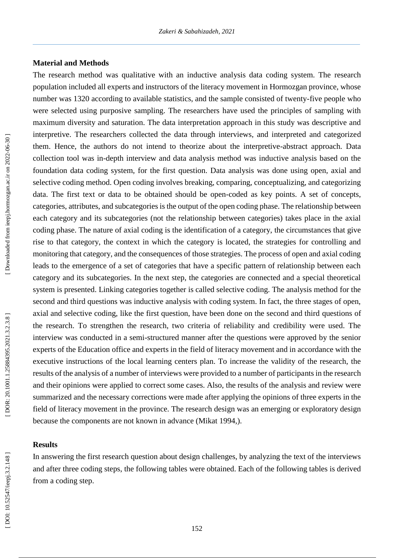### **Material and Method s**

The research method was qualitative with an inductive analysis data coding system. The research population included all experts and instructors of the literacy movement in Hormozgan province, whose number was 1320 according to available statistics, and the sample consisted of twenty -five people who were selected using purposive sampling. The researchers have used the principles of sampling with maximum diversity and saturation. The data interpretation approach in this study was descriptive and interpretive. The researchers collected the data through interviews, and interpreted and categorized them. Hence, the authors do not intend to theorize about the interpretive -abstract approach. Data collection tool was in -depth interview and data analysis method was inductive analysis based on the foundation data coding system, for the first question. Data analysis was done using open, axial and selective coding method. Open coding involves breaking, comparing, conceptualizing, and categorizing data. The first text or data to be obtained should be open -coded as key points. A set of concepts, categories, attributes, and subcategories is the output of the open coding phase. The relationship between each category and its subcategories (not the relationship between categories) takes place in the axial coding phase. The nature of axial coding is the identification of a category, the circumstances that give rise to that category, the context in which the category is located, the strategies for controlling and monitoring that category, and the consequences of those strategies. The process of open and axial coding leads to the emergence of a set of categories that have a specific pattern of relationship between each category and its subcategories. In the next step, the categories are connected and a special theoretical system is presented. Linking categories together is called selective coding. The analysis method for the second and third questions was inductive analysis with coding system. In fact, the three stages of open, axial and selective coding, like the first question, have been done on the second and third questions of the research. To strengthen the research, two criteria of reliability and credibility were used. The interview was conducted in a semi -structured manner after the questions were approved by the senior experts of the Education office and experts in the field of literacy movement and in accordance with the executive instructions of the local learning centers plan. To increase the validity of the research, the results of the analysis of a number of interviews were provided to a number of participants in the research and their opinions were applied to correct some cases. Also, the results of the analysis and review were summarized and the necessary corrections were made after applying the opinions of three experts in the field of literacy movement in the province. The research design was an emerging or exploratory design because the components are not known in advance (Mikat 1994,).

### **Results**

In answering the first research question about design challenges, by analyzing the text of the interviews and after three coding steps, the following tables were obtained. Each of the following tables is derived from a coding step.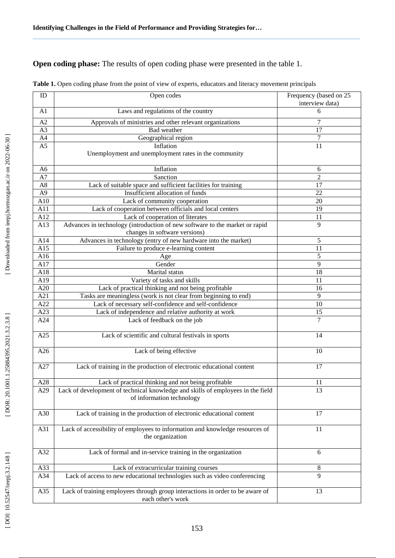# **Open coding phase:** The results of open coding phase were presented in the table 1.

| ID             | Open codes                                                                                                   | Frequency (based on 25<br>interview data) |
|----------------|--------------------------------------------------------------------------------------------------------------|-------------------------------------------|
| A <sub>1</sub> | Laws and regulations of the country                                                                          | 6                                         |
| A2             | Approvals of ministries and other relevant organizations                                                     | 7                                         |
| A3             | Bad weather                                                                                                  | 17                                        |
| A4             | Geographical region                                                                                          | $\boldsymbol{7}$                          |
| A <sub>5</sub> | Inflation                                                                                                    | 11                                        |
|                | Unemployment and unemployment rates in the community                                                         |                                           |
| A <sub>6</sub> | Inflation                                                                                                    | 6                                         |
| A7             | Sanction                                                                                                     | $\overline{2}$                            |
| A8             | Lack of suitable space and sufficient facilities for training                                                | 17                                        |
| A <sub>9</sub> | Insufficient allocation of funds                                                                             | 22                                        |
| A10            | Lack of community cooperation                                                                                | 20                                        |
| A11            | Lack of cooperation between officials and local centers                                                      | 19                                        |
| A12            | Lack of cooperation of literates                                                                             | 11                                        |
| A13            | Advances in technology (introduction of new software to the market or rapid<br>changes in software versions) | 9                                         |
| A14            | Advances in technology (entry of new hardware into the market)                                               | 5                                         |
| A15            | Failure to produce e-learning content                                                                        | 11                                        |
| A16            | Age                                                                                                          | 5                                         |
| A17            | Gender                                                                                                       | 9                                         |
| A18            | Marital status                                                                                               | 18                                        |
| A19            | Variety of tasks and skills                                                                                  | 11                                        |
| A20            | Lack of practical thinking and not being profitable                                                          | 16                                        |
| A21            | Tasks are meaningless (work is not clear from beginning to end)                                              | 9                                         |
| A22            | Lack of necessary self-confidence and self-confidence                                                        | 10                                        |
| A23            | Lack of independence and relative authority at work                                                          | 15                                        |
| A24            | Lack of feedback on the job                                                                                  | 7                                         |
| A25            | Lack of scientific and cultural festivals in sports                                                          | 14                                        |
| A26            | Lack of being effective                                                                                      | 10                                        |
| A27            | Lack of training in the production of electronic educational content                                         | 17                                        |
| A28            | Lack of practical thinking and not being profitable                                                          | 11                                        |
| A29            | Lack of development of technical knowledge and skills of employees in the field<br>of information technology | 13                                        |
| A30            | Lack of training in the production of electronic educational content                                         | 17                                        |
| A31            | Lack of accessibility of employees to information and knowledge resources of<br>the organization             | 11                                        |
| A32            | Lack of formal and in-service training in the organization                                                   | 6                                         |
| A33            | Lack of extracurricular training courses                                                                     | 8                                         |
| A34            | Lack of access to new educational technologies such as video conferencing                                    | 9                                         |
| A35            | Lack of training employees through group interactions in order to be aware of<br>each other's work           | 13                                        |

| Table 1. Open coding phase from the point of view of experts, educators and literacy movement principals |  |  |
|----------------------------------------------------------------------------------------------------------|--|--|
|----------------------------------------------------------------------------------------------------------|--|--|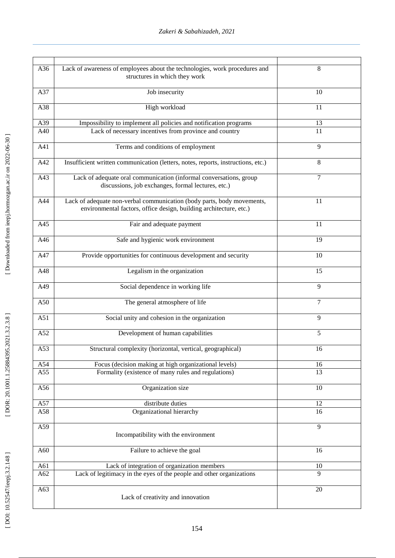| A36 | Lack of awareness of employees about the technologies, work procedures and                                                                   | 8              |
|-----|----------------------------------------------------------------------------------------------------------------------------------------------|----------------|
|     | structures in which they work                                                                                                                |                |
| A37 | Job insecurity                                                                                                                               | 10             |
| A38 | High workload                                                                                                                                | 11             |
| A39 | Impossibility to implement all policies and notification programs                                                                            | 13             |
| A40 | Lack of necessary incentives from province and country                                                                                       | 11             |
| A41 | Terms and conditions of employment                                                                                                           | 9              |
| A42 | Insufficient written communication (letters, notes, reports, instructions, etc.)                                                             | 8              |
| A43 | Lack of adequate oral communication (informal conversations, group<br>discussions, job exchanges, formal lectures, etc.)                     | $\overline{7}$ |
| A44 | Lack of adequate non-verbal communication (body parts, body movements,<br>environmental factors, office design, building architecture, etc.) | 11             |
| A45 | Fair and adequate payment                                                                                                                    | 11             |
| A46 | Safe and hygienic work environment                                                                                                           | 19             |
| A47 | Provide opportunities for continuous development and security                                                                                | 10             |
| A48 | Legalism in the organization                                                                                                                 | 15             |
| A49 | Social dependence in working life                                                                                                            | 9              |
| A50 | The general atmosphere of life                                                                                                               | $\tau$         |
| A51 | Social unity and cohesion in the organization                                                                                                | 9              |
| A52 | Development of human capabilities                                                                                                            | $\overline{5}$ |
| A53 | Structural complexity (horizontal, vertical, geographical)                                                                                   | 16             |
| A54 | Focus (decision making at high organizational levels)                                                                                        | 16             |
| A55 | Formality (existence of many rules and regulations)                                                                                          | 13             |
| A56 | Organization size                                                                                                                            | 10             |
| A57 | distribute duties                                                                                                                            | 12             |
| A58 | Organizational hierarchy                                                                                                                     | 16             |
| A59 | Incompatibility with the environment                                                                                                         | 9              |
| A60 | Failure to achieve the goal                                                                                                                  | 16             |
| A61 | Lack of integration of organization members                                                                                                  | 10             |
| A62 | Lack of legitimacy in the eyes of the people and other organizations                                                                         | 9              |
| A63 | Lack of creativity and innovation                                                                                                            | 20             |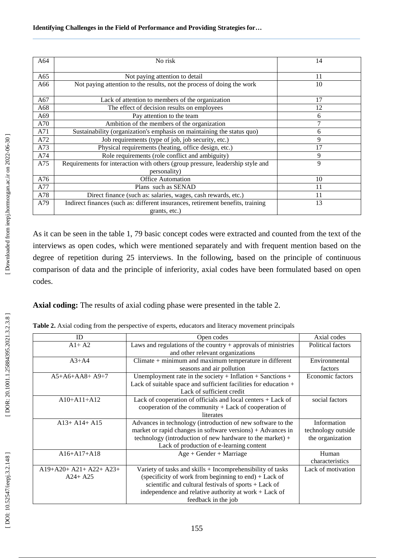| A64 | No risk                                                                                        | 14 |
|-----|------------------------------------------------------------------------------------------------|----|
| A65 | Not paying attention to detail                                                                 | 11 |
| A66 | Not paying attention to the results, not the process of doing the work                         | 10 |
| A67 | Lack of attention to members of the organization                                               | 17 |
| A68 | The effect of decision results on employees                                                    | 12 |
| A69 | Pay attention to the team                                                                      | 6  |
| A70 | Ambition of the members of the organization                                                    | 7  |
| A71 | Sustainability (organization's emphasis on maintaining the status quo)                         | 6  |
| A72 | Job requirements (type of job, job security, etc.)                                             | 9  |
| A73 | Physical requirements (heating, office design, etc.)                                           | 17 |
| A74 | Role requirements (role conflict and ambiguity)                                                | 9  |
| A75 | Requirements for interaction with others (group pressure, leadership style and<br>personality) | 9  |
| A76 | <b>Office Automation</b>                                                                       | 10 |
| A77 | Plans such as SENAD                                                                            | 11 |
| A78 | Direct finance (such as: salaries, wages, cash rewards, etc.)                                  | 11 |
| A79 | Indirect finances (such as: different insurances, retirement benefits, training                | 13 |
|     | grants, etc.)                                                                                  |    |

As it can be seen in the table 1, 79 basic concept codes were extracted and counted from the text of the interviews as open codes, which were mentioned separately and with frequent mention based on the degree of repetition during 25 interviews. In the following, based on the principle of continuous comparison of data and the principle of inferiority, axial codes have been formulated based on open codes.

Axial coding: The results of axial coding phase were presented in the table 2.

**Table 2 .** Axial coding from the perspective of experts, educators and literacy movement principals

| ID                      | Open codes                                                       | Axial codes        |
|-------------------------|------------------------------------------------------------------|--------------------|
| $A1+ A2$                | Laws and regulations of the country $+$ approvals of ministries  | Political factors  |
|                         | and other relevant organizations                                 |                    |
| $A3+A4$                 | $Climate + minimum$ and maximum temperature in different         | Environmental      |
|                         | seasons and air pollution                                        | factors            |
| $A5+A6+AAB+A9+7$        | Unemployment rate in the society + Inflation + Sanctions +       | Economic factors   |
|                         | Lack of suitable space and sufficient facilities for education + |                    |
|                         | Lack of sufficient credit                                        |                    |
| $A10+A11+A12$           | Lack of cooperation of officials and local centers + Lack of     | social factors     |
|                         | cooperation of the community $+$ Lack of cooperation of          |                    |
|                         | literates                                                        |                    |
| $A13+ A14+ A15$         | Advances in technology (introduction of new software to the      | Information        |
|                         | market or rapid changes in software versions) + Advances in      | technology outside |
|                         | technology (introduction of new hardware to the market) $+$      | the organization   |
|                         | Lack of production of e-learning content                         |                    |
| $A16 + A17 + A18$       | $Age + Gender + Marriage$                                        | Human              |
|                         |                                                                  | characteristics    |
| $A19+A20+A21+A22+A23+A$ | Variety of tasks and skills + Incomprehensibility of tasks       | Lack of motivation |
| $A24+ A25$              | (specificity of work from beginning to end) $+$ Lack of          |                    |
|                         | scientific and cultural festivals of sports + Lack of            |                    |
|                         | independence and relative authority at work $+$ Lack of          |                    |
|                         | feedback in the job                                              |                    |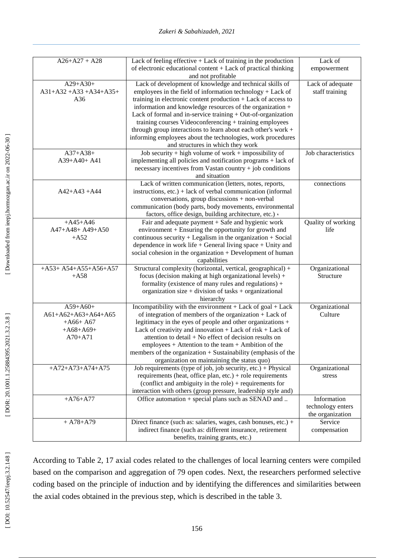| $A26 + A27 + A28$                             | Lack of feeling effective $+$ Lack of training in the production<br>of electronic educational content + Lack of practical thinking                                                                                                                                                                | Lack of<br>empowerment             |
|-----------------------------------------------|---------------------------------------------------------------------------------------------------------------------------------------------------------------------------------------------------------------------------------------------------------------------------------------------------|------------------------------------|
|                                               | and not profitable                                                                                                                                                                                                                                                                                |                                    |
| $A29 + A30+$<br>$A31+A32+A33+A34+A35+$<br>A36 | Lack of development of knowledge and technical skills of<br>employees in the field of information technology $+$ Lack of<br>training in electronic content production + Lack of access to                                                                                                         | Lack of adequate<br>staff training |
|                                               | information and knowledge resources of the organization +<br>Lack of formal and in-service training + Out-of-organization<br>training courses Videoconferencing + training employees                                                                                                              |                                    |
|                                               | through group interactions to learn about each other's work +<br>informing employees about the technologies, work procedures<br>and structures in which they work                                                                                                                                 |                                    |
| $A37 + A38 +$<br>A39+A40+ A41                 | Job security + high volume of work + impossibility of<br>implementing all policies and notification programs + lack of<br>necessary incentives from Vastan country + job conditions<br>and situation                                                                                              | Job characteristics                |
| $A42+A43+A44$                                 | Lack of written communication (letters, notes, reports,<br>instructions, $etc.$ ) + lack of verbal communication (informal<br>conversations, group discussions + non-verbal<br>communication (body parts, body movements, environmental<br>factors, office design, building architecture, etc.) . | connections                        |
| $+A45+A46$                                    | Fair and adequate payment $+$ Safe and hygienic work                                                                                                                                                                                                                                              | Quality of working                 |
| A47+A48+ A49+A50                              | environment + Ensuring the opportunity for growth and                                                                                                                                                                                                                                             | life                               |
| $+A52$                                        | continuous security $+$ Legalism in the organization $+$ Social                                                                                                                                                                                                                                   |                                    |
|                                               | dependence in work life $+$ General living space $+$ Unity and                                                                                                                                                                                                                                    |                                    |
|                                               | social cohesion in the organization + Development of human<br>capabilities                                                                                                                                                                                                                        |                                    |
| $+A53+A54+A55+A56+A57$                        | Structural complexity (horizontal, vertical, geographical) +                                                                                                                                                                                                                                      | Organizational                     |
| $+A58$                                        | focus (decision making at high organizational levels) +                                                                                                                                                                                                                                           | Structure                          |
|                                               | formality (existence of many rules and regulations) +<br>organization size + division of tasks + organizational                                                                                                                                                                                   |                                    |
|                                               | hierarchy                                                                                                                                                                                                                                                                                         |                                    |
| $A59 + A60+$<br>A61+A62+A63+A64+A65           | Incompatibility with the environment $+$ Lack of goal $+$ Lack<br>of integration of members of the organization $+$ Lack of                                                                                                                                                                       | Organizational<br>Culture          |
| $+A66+AG7$                                    | legitimacy in the eyes of people and other organizations +                                                                                                                                                                                                                                        |                                    |
| $+A68+A69+$                                   | Lack of creativity and innovation $+$ Lack of risk $+$ Lack of                                                                                                                                                                                                                                    |                                    |
| $A70+A71$                                     | attention to detail + No effect of decision results on                                                                                                                                                                                                                                            |                                    |
|                                               | $employees + Attention to the team + Ambition of the$                                                                                                                                                                                                                                             |                                    |
|                                               | members of the organization + Sustainability (emphasis of the                                                                                                                                                                                                                                     |                                    |
|                                               | organization on maintaining the status quo)                                                                                                                                                                                                                                                       |                                    |
| $+A72+A73+A74+A75$                            | Job requirements (type of job, job security, etc.) + Physical                                                                                                                                                                                                                                     | Organizational                     |
|                                               | requirements (heat, office plan, etc.) + role requirements                                                                                                                                                                                                                                        | stress                             |
|                                               | (conflict and ambiguity in the role) $+$ requirements for                                                                                                                                                                                                                                         |                                    |
|                                               | interaction with others (group pressure, leadership style and)                                                                                                                                                                                                                                    |                                    |
| $+A76+A77$                                    | Office automation + special plans such as SENAD and                                                                                                                                                                                                                                               | Information                        |
|                                               |                                                                                                                                                                                                                                                                                                   | technology enters                  |
|                                               |                                                                                                                                                                                                                                                                                                   | the organization<br>Service        |
| $+ A78 + A79$                                 | Direct finance (such as: salaries, wages, cash bonuses, etc.) +<br>indirect finance (such as: different insurance, retirement                                                                                                                                                                     | compensation                       |
|                                               | benefits, training grants, etc.)                                                                                                                                                                                                                                                                  |                                    |
|                                               |                                                                                                                                                                                                                                                                                                   |                                    |

According to Table 2, 17 axial codes related to the challenges of local learning centers were compiled based on the comparison and aggregation of 79 open codes. Next, the researchers performed selective coding based on the principle of induction and by identifying the differences and similarities between the axial codes obtained in the previous step, which is described in the table 3.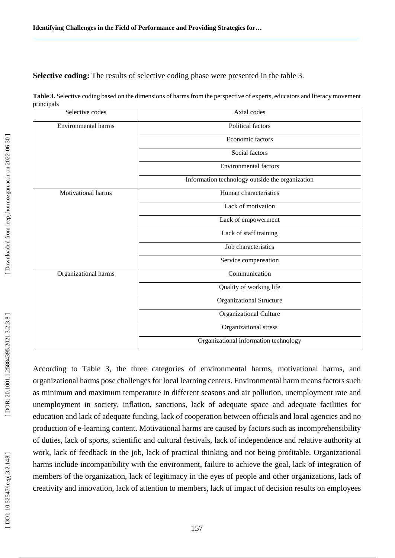Selective coding: The results of selective coding phase were presented in the table 3.

**Table 3.** Selective coding based on the dimensions of harms from the perspective of experts, educators and literacy movement principals

| Selective codes      | Axial codes                                     |
|----------------------|-------------------------------------------------|
| Environmental harms  | Political factors                               |
|                      | Economic factors                                |
|                      | Social factors                                  |
|                      | <b>Environmental factors</b>                    |
|                      | Information technology outside the organization |
| Motivational harms   | Human characteristics                           |
|                      | Lack of motivation                              |
|                      | Lack of empowerment                             |
|                      | Lack of staff training                          |
|                      | Job characteristics                             |
|                      | Service compensation                            |
| Organizational harms | Communication                                   |
|                      | Quality of working life                         |
|                      | <b>Organizational Structure</b>                 |
|                      | Organizational Culture                          |
|                      | Organizational stress                           |
|                      | Organizational information technology           |

According to Table 3, the three categories of environmental harms, motivational harms, and organizational harms pose challenges for local learning centers. Environmental harm means factors such as minimum and maximum temperature in different seasons and air pollution, unemployment rate and unemployment in society, inflation, sanctions, lack of adequate space and adequate facilities for education and lack of adequate funding, lack of cooperation between officials and local agencies and no production of e -learning content. Motivational harms are caused by factors such as incomprehensibility of duties, lack of sports, scientific and cultural festivals, lack of independence and relative authority at work, lack of feedback in the job, lack of practical thinking and not being profitable. Organizational harms include incompatibility with the environment, failure to achieve the goal, lack of integration of members of the organization, lack of legitimacy in the eyes of people and other organizations, lack of creativity and innovation, lack of attention to members, lack of impact of decision results on employees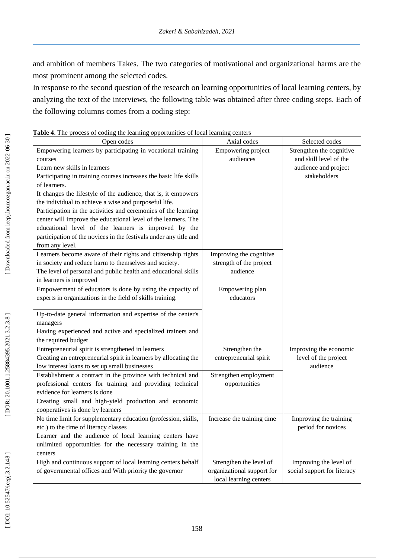and ambition of members Takes. The two categories of motivational and organizational harms are the most prominent among the selected codes.

In response to the second question of the research on learning opportunities of local learning centers, by analyzing the text of the interviews, the following table was obtained after three coding steps. Each of the following columns comes from a coding step:

|  |  | Table 4. The process of coding the learning opportunities of local learning centers |  |  |
|--|--|-------------------------------------------------------------------------------------|--|--|
|  |  |                                                                                     |  |  |

| $\epsilon$ opportunities of                                       |                            |                             |
|-------------------------------------------------------------------|----------------------------|-----------------------------|
| Open codes                                                        | Axial codes                | Selected codes              |
| Empowering learners by participating in vocational training       | Empowering project         | Strengthen the cognitive    |
| courses                                                           | audiences                  | and skill level of the      |
| Learn new skills in learners                                      |                            | audience and project        |
| Participating in training courses increases the basic life skills |                            | stakeholders                |
| of learners.                                                      |                            |                             |
| It changes the lifestyle of the audience, that is, it empowers    |                            |                             |
| the individual to achieve a wise and purposeful life.             |                            |                             |
| Participation in the activities and ceremonies of the learning    |                            |                             |
| center will improve the educational level of the learners. The    |                            |                             |
| educational level of the learners is improved by the              |                            |                             |
| participation of the novices in the festivals under any title and |                            |                             |
| from any level.                                                   |                            |                             |
| Learners become aware of their rights and citizenship rights      | Improving the cognitive    |                             |
| in society and reduce harm to themselves and society.             | strength of the project    |                             |
| The level of personal and public health and educational skills    | audience                   |                             |
| in learners is improved                                           |                            |                             |
| Empowerment of educators is done by using the capacity of         | Empowering plan            |                             |
| experts in organizations in the field of skills training.         | educators                  |                             |
|                                                                   |                            |                             |
| Up-to-date general information and expertise of the center's      |                            |                             |
| managers                                                          |                            |                             |
| Having experienced and active and specialized trainers and        |                            |                             |
| the required budget                                               |                            |                             |
| Entrepreneurial spirit is strengthened in learners                | Strengthen the             | Improving the economic      |
| Creating an entrepreneurial spirit in learners by allocating the  | entrepreneurial spirit     | level of the project        |
| low interest loans to set up small businesses                     |                            | audience                    |
| Establishment a contract in the province with technical and       | Strengthen employment      |                             |
| professional centers for training and providing technical         | opportunities              |                             |
| evidence for learners is done                                     |                            |                             |
| Creating small and high-yield production and economic             |                            |                             |
| cooperatives is done by learners                                  |                            |                             |
| No time limit for supplementary education (profession, skills,    | Increase the training time | Improving the training      |
| etc.) to the time of literacy classes                             |                            | period for novices          |
| Learner and the audience of local learning centers have           |                            |                             |
| unlimited opportunities for the necessary training in the         |                            |                             |
| centers                                                           |                            |                             |
| High and continuous support of local learning centers behalf      | Strengthen the level of    | Improving the level of      |
| of governmental offices and With priority the governor            | organizational support for | social support for literacy |
|                                                                   | local learning centers     |                             |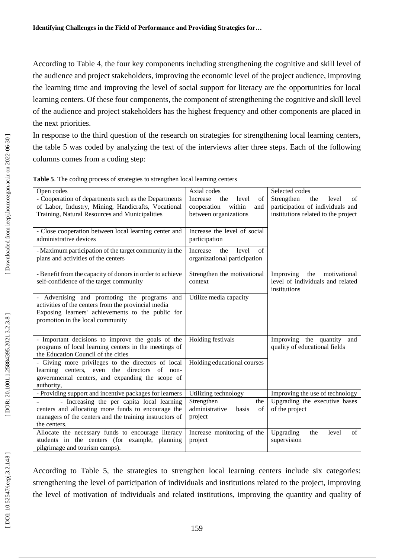According to Table 4, the four key components including strengthening the cognitive and skill level of the audience and project stakeholders, improving the economic level of the project audience, improving the learning time and improving the level of social support for literacy are the opportunities for local learning centers. Of these four components, the component of strengthening the cognitive and skill level of the audience and project stakeholders has the highest frequency and other components are placed in the next priorities.

In response to the third question of the research on strategies for strengthening local learning centers, the table 5 was coded by analyzing the text of the interviews after three steps. Each of the following columns comes from a coding step:

| Open codes                                                | Axial codes                            | Selected codes                      |
|-----------------------------------------------------------|----------------------------------------|-------------------------------------|
| - Cooperation of departments such as the Departments      | of<br>Increase<br>level<br>the         | Strengthen<br>level<br>the<br>of    |
| of Labor, Industry, Mining, Handicrafts, Vocational       | cooperation<br>within<br>and           | participation of individuals and    |
| Training, Natural Resources and Municipalities            | between organizations                  | institutions related to the project |
|                                                           |                                        |                                     |
| - Close cooperation between local learning center and     | Increase the level of social           |                                     |
| administrative devices                                    | participation                          |                                     |
| - Maximum participation of the target community in the    | Increase<br>$\sigma$ f<br>the<br>level |                                     |
| plans and activities of the centers                       | organizational participation           |                                     |
|                                                           |                                        |                                     |
| - Benefit from the capacity of donors in order to achieve | Strengthen the motivational            | motivational<br>Improving<br>the    |
| self-confidence of the target community                   | context                                | level of individuals and related    |
|                                                           |                                        | institutions                        |
| - Advertising and promoting the programs and              | Utilize media capacity                 |                                     |
| activities of the centers from the provincial media       |                                        |                                     |
| Exposing learners' achievements to the public for         |                                        |                                     |
| promotion in the local community                          |                                        |                                     |
|                                                           |                                        |                                     |
| - Important decisions to improve the goals of the         | Holding festivals                      | Improving the quantity and          |
| programs of local learning centers in the meetings of     |                                        | quality of educational fields       |
| the Education Council of the cities                       |                                        |                                     |
| - Giving more privileges to the directors of local        | Holding educational courses            |                                     |
| learning centers, even the directors of non-              |                                        |                                     |
| governmental centers, and expanding the scope of          |                                        |                                     |
| authority,                                                |                                        |                                     |
| - Providing support and incentive packages for learners   | Utilizing technology                   | Improving the use of technology     |
| - Increasing the per capita local learning                | Strengthen<br>the                      | Upgrading the executive bases       |
| centers and allocating more funds to encourage the        | administrative<br>of<br>basis          | of the project                      |
| managers of the centers and the training instructors of   | project                                |                                     |
| the centers.                                              |                                        |                                     |
| Allocate the necessary funds to encourage literacy        | Increase monitoring of the             | Upgrading<br>level<br>of<br>the     |
| students in the centers (for example, planning            | project                                | supervision                         |
| pilgrimage and tourism camps).                            |                                        |                                     |

|  |  |  |  | Table 5. The coding process of strategies to strengthen local learning centers |
|--|--|--|--|--------------------------------------------------------------------------------|
|--|--|--|--|--------------------------------------------------------------------------------|

According to Table 5, the strategies to strengthen local learning centers include six categories: strengthening the level of participation of individuals and institutions related to the project, improving the level of motivation of individuals and related institutions, improving the quantity and quality of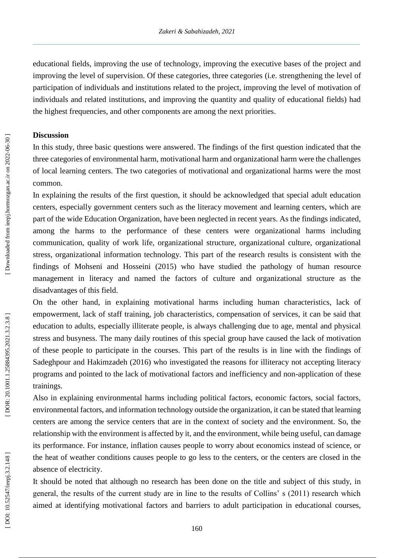educational fields, improving the use of technology, improving the executive bases of the project and improving the level of supervision. Of these categories, three categories (i.e. strengthening the level of participation of individuals and institutions related to the project, improving the level of motivation of individuals and related institutions, and improving the quantity and quality of educational fields) had the highest frequencies, and other components are among the next priorities.

### **Discussion**

In this study, three basic questions were answered. The findings of the first question indicated that the three categories of environmental harm, motivational harm and organizational harm were the challenges of local learning centers. The two categories of motivational and organizational harms were the most common.

In explaining the results of the first question, it should be acknowledged that special adult education centers, especially government centers such as the literacy movement and learning centers, which are part of the wide Education Organization, have been neglected in recent years. As the findings indicated, among the harms to the performance of these centers were organizational harms including communication, quality of work life, organizational structure, organizational culture, organizational stress, organizational information technology. This part of the research results is consistent with the findings of Mohseni and Hosseini (2015) who have studied the pathology of human resource management in literacy and named the factors of culture and organizational structure as the disadvantages of this field.

On the other hand, in explaining motivational harms including human characteristics, lack of empowerment, lack of staff training, job characteristics, compensation of services, it can be said that education to adults, especially illiterate people, is always challenging due to age, mental and physical stress and busyness. The many daily routines of this special group have caused the lack of motivation of these people to participate in the courses. This part of the results is in line with the findings of Sadeghpour and Hakimzadeh (2016) who investigated the reasons for illiteracy not accepting literacy programs and pointed to the lack of motivational factors and inefficiency and non -application of these trainings.

Also in explaining environmental harms including political factors, economic factors, social factors, environmental factors, and information technology outside the organization, it can be stated that learning centers are among the service centers that are in the context of society and the environment. So, the relationship with the environment is affected by it, and the environment, while being useful, can damage its performance. For instance, inflation causes people to worry about economics instead of science, or the heat of weather conditions causes people to go less to the centers, or the centers are closed in the absence of electricity.

It should be noted that although no research has been done on the title and subject of this study, in general, the results of the current study are in line to the results of Collins' s (2011) research which aimed at identifying motivational factors and barriers to adult participation in educational courses,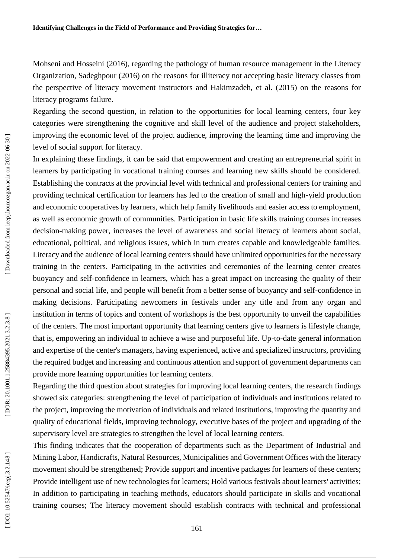Mohseni and Hosseini (2016), regarding the pathology of human resource management in the Literacy Organization, Sadeghpour (2016) on the reasons for illiteracy not accepting basic literacy classes from the perspective of literacy movement instructors and Hakimzadeh, et al. (2015) on the reasons for literacy programs failure.

Regarding the second question, in relation to the opportunities for local learning centers, four key categories were strengthening the cognitive and skill level of the audience and project stakeholders, improving the economic level of the project audience, improving the learning time and improving the level of social support for literacy.

In explaining these findings, it can be said that empowerment and creating an entrepreneurial spirit in learners by participating in vocational training courses and learning new skills should be considered. Establishing the contracts at the provincial level with technical and professional centers for training and providing technical certification for learners has led to the creation of small and high-yield production and economic cooperatives by learners, which help family livelihoods and easier access to employment, as well as economic growth of communities. Participation in basic life skills training courses increases decision -making power, increases the level of awareness and social literacy of learners about social, educational, political, and religious issues, which in turn creates capable and knowledgeable families. Literacy and the audience of local learning centers should have unlimited opportunities for the necessary training in the centers. Participating in the activities and ceremonies of the learning center creates buoyancy and self -confidence in learners, which has a great impact on increasing the quality of their personal and social life, and people will benefit from a better sense of buoyancy and self -confidence in making decisions. Participating newcomers in festivals under any title and from any organ and institution in terms of topics and content of workshops is the best opportunity to unveil the capabilities of the centers. The most important opportunity that learning centers give to learners is lifestyle change, that is, empowering an individual to achieve a wise and purposeful life. Up -to -date general information and expertise of the center's managers, having experienced, active and specialized instructors, providing the required budget and increasing and continuous attention and support of government departments can provide more learning opportunities for learning centers.

Regarding the third question about strategies for improving local learning centers, the research findings showed six categories: strengthening the level of participation of individuals and institutions related to the project, improving the motivation of individuals and related institutions, improving the quantity and quality of educational fields, improving technology, executive bases of the project and upgrading of the supervisory level are strategies to strengthen the level of local learning centers.

This finding indicates that the cooperation of departments such as the Department of Industrial and Mining Labor, Handicrafts, Natural Resources, Municipalities and Government Offices with the literacy movement should be strengthened; Provide support and incentive packages for learners of these centers; Provide intelligent use of new technologies for learners; Hold various festivals about learners' activities; In addition to participating in teaching methods, educators should participate in skills and vocational training courses; The literacy movement should establish contracts with technical and professional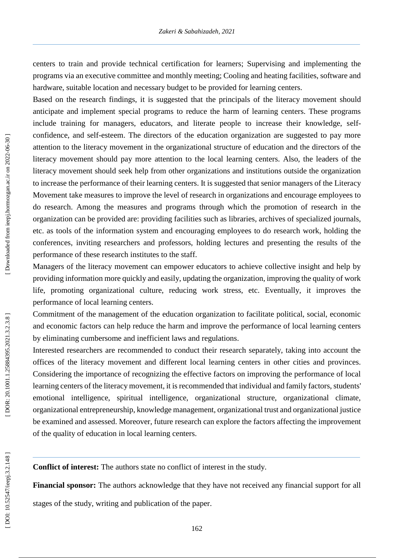centers to train and provide technical certification for learners; Supervising and implementing the programs via an executive committee and monthly meeting; Cooling and heating facilities, software and hardware, suitable location and necessary budget to be provided for learning centers.

Based on the research findings, it is suggested that the principals of the literacy movement should anticipate and implement special programs to reduce the harm of learning centers. These programs include training for managers, educators, and literate people to increase their knowledge, selfconfidence, and self-esteem. The directors of the education organization are suggested to pay more attention to the literacy movement in the organizational structure of education and the directors of the literacy movement should pay more attention to the local learning centers. Also, the leaders of the literacy movement should seek help from other organizations and institutions outside the organization to increase the performance of their learning centers. It is suggested that senior managers of the Literacy Movement take measures to improve the level of research in organizations and encourage employees to do research. Among the measures and programs through which the promotion of research in the organization can be provided are: providing facilities such as libraries, archives of specialized journals, etc. as tools of the information system and encouraging employees to do research work, holding the conferences, inviting researchers and professors, holding lectures and presenting the results of the performance of these research institutes to the staff.

Managers of the literacy movement can empower educators to achieve collective insight and help by providing information more quickly and easily, updating the organization, improving the quality of work life, promoting organizational culture, reducing work stress, etc. Eventually, it improves the performance of local learning centers.

Commitment of the management of the education organization to facilitate political, social, economic and economic factors can help reduce the harm and improve the performance of local learning centers by eliminating cumbersome and inefficient laws and regulations.

Interested researchers are recommended to conduct their research separately, taking into account the offices of the literacy movement and different local learning centers in other cities and provinces. Considering the importance of recognizing the effective factors on improving the performance of local learning centers of the literacy movement, it is recommended that individual and family factors, students' emotional intelligence, spiritual intelligence, organizational structure, organizational climate, organizational entrepreneurship, knowledge management, organizational trust and organizational justice be examined and assessed. Moreover, future research can explore the factors affecting the improvement of the quality of education in local learning centers.

**Conflict of interest:** The authors state no conflict of interest in the study.

**Financial sponsor:** The authors acknowledge that they have not received any financial support for all

stages of the study, writing and publication of the paper.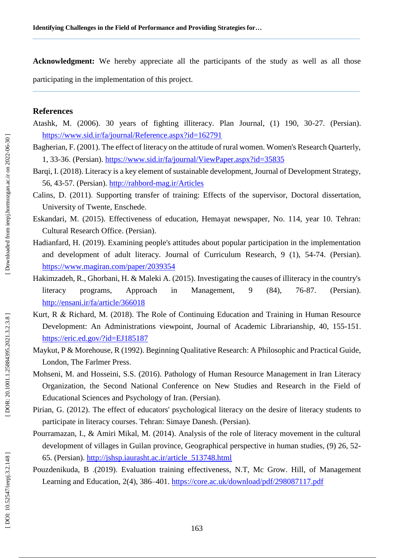**Acknowledgment:** We hereby appreciate all the participants of the study as well as all those participating in the implementation of this project.

### **References**

- Atashk, M. (2006). 30 years of fighting illiteracy. Plan Journal, (1) 190, 30 -27. (Persian). <https://www.sid.ir/fa/journal/Reference.aspx?id=162791>
- Bagherian, F. (2001). The effect of literacy on the attitude of rural women. Women's Research Quarterly, 1, 33-36. (Persian).<https://www.sid.ir/fa/journal/ViewPaper.aspx?id=35835>
- Barqi, I. (2018). Literacy is a key element of sustainable development, Journal of Development Strategy, 56, 43-57. (Persian). http://rahbord[-mag.ir/Articles](http://rahbord-mag.ir/Articles)
- Calins , D. (2011) . Supporting transfer of training: Effects of the supervisor, Doctoral dissertation, University of Twente, Enschede.
- Eskandari, M. (2015). Effectiveness of education, Hemayat newspaper, No. 114, year 10. Tehran: Cultural Research Office. (Persian).
- Hadianfard, H. (2019). Examining people's attitudes about popular participation in the implementation and development of adult literacy. Journal of Curriculum Research, 9 (1), 54 -74. (Persian). <https://www.magiran.com/paper/2039354>
- Hakimzadeh, R., Ghorbani, H. & Maleki A. (2015). Investigating the causes of illiteracy in the country's literacy programs, Approach in Management, 9 (84), 76-87. (Persian). <http://ensani.ir/fa/article/366018>
- Kurt, R & Richard, M. (2018). The Role of Continuing Education and Training in Human Resource Development: An Administrations viewpoint, Journal of Academic Librarianship, 40, 155-151. <https://eric.ed.gov/?id=EJ185187>
- Maykut, P & Morehouse, R (1992). Beginning Qualitative Research: A Philosophic and Practical Guide, London , The Farlmer Press .
- Mohseni, M. and Hosseini, S.S. (2016). Pathology of Human Resource Management in Iran Literacy Organization, the Second National Conference on New Studies and Research in the Field of Educational Sciences and Psychology of Iran. (Persian).
- Pirian, G. (2012). The effect of educators' psychological literacy on the desire of literacy students to participate in literacy courses. Tehran: Simaye Danesh. (Persian).
- Pourramazan, I., & Amiri Mikal, M. (2014). Analysis of the role of literacy movement in the cultural development of villages in Guilan province, Geographical perspective in human studies, (9) 26, 52-65. (Persian). [http://jshsp.iaurasht.ac.ir/article\\_513748.html](http://jshsp.iaurasht.ac.ir/article_513748.html)
- Pouzdenikuda, B .(2019). Evaluation training effectiveness, N.T, Mc Grow. Hill, of Management Learning and Education, 2(4), 386–401.<https://core.ac.uk/download/pdf/298087117.pdf>